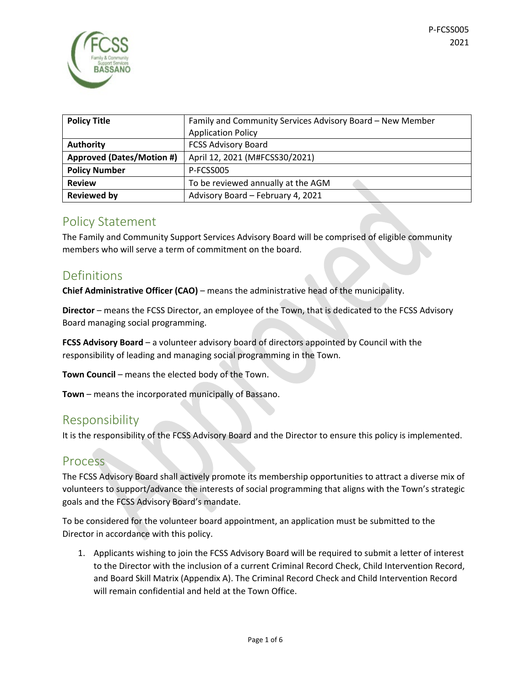

| <b>Policy Title</b>              | Family and Community Services Advisory Board - New Member |  |
|----------------------------------|-----------------------------------------------------------|--|
|                                  | <b>Application Policy</b>                                 |  |
| <b>Authority</b>                 | <b>FCSS Advisory Board</b>                                |  |
| <b>Approved (Dates/Motion #)</b> | April 12, 2021 (M#FCSS30/2021)                            |  |
| <b>Policy Number</b>             | P-FCSS005                                                 |  |
| <b>Review</b>                    | To be reviewed annually at the AGM                        |  |
| <b>Reviewed by</b>               | Advisory Board - February 4, 2021                         |  |

### Policy Statement

The Family and Community Support Services Advisory Board will be comprised of eligible community members who will serve a term of commitment on the board.

## Definitions

**Chief Administrative Officer (CAO)** – means the administrative head of the municipality.

**Director** – means the FCSS Director, an employee of the Town, that is dedicated to the FCSS Advisory Board managing social programming.

**FCSS Advisory Board** – a volunteer advisory board of directors appointed by Council with the responsibility of leading and managing social programming in the Town.

**Town Council** – means the elected body of the Town.

**Town** – means the incorporated municipally of Bassano.

## Responsibility

It is the responsibility of the FCSS Advisory Board and the Director to ensure this policy is implemented.

## Process

The FCSS Advisory Board shall actively promote its membership opportunities to attract a diverse mix of volunteers to support/advance the interests of social programming that aligns with the Town's strategic goals and the FCSS Advisory Board's mandate.

To be considered for the volunteer board appointment, an application must be submitted to the Director in accordance with this policy.

1. Applicants wishing to join the FCSS Advisory Board will be required to submit a letter of interest to the Director with the inclusion of a current Criminal Record Check, Child Intervention Record, and Board Skill Matrix (Appendix A). The Criminal Record Check and Child Intervention Record will remain confidential and held at the Town Office.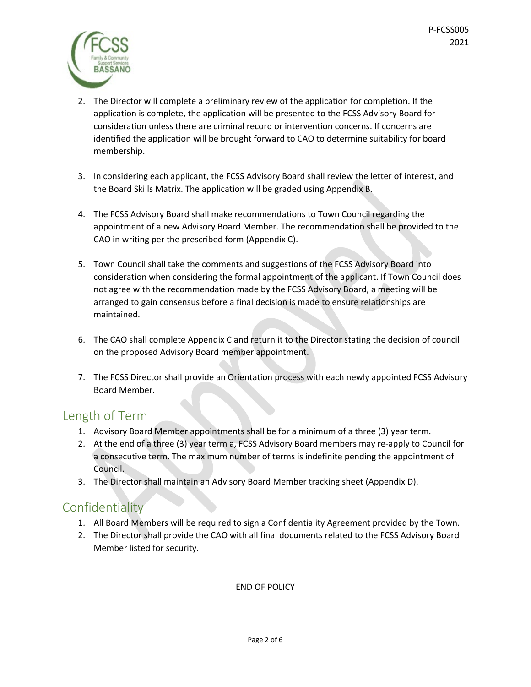

- 2. The Director will complete a preliminary review of the application for completion. If the application is complete, the application will be presented to the FCSS Advisory Board for consideration unless there are criminal record or intervention concerns. If concerns are identified the application will be brought forward to CAO to determine suitability for board membership.
- 3. In considering each applicant, the FCSS Advisory Board shall review the letter of interest, and the Board Skills Matrix. The application will be graded using Appendix B.
- 4. The FCSS Advisory Board shall make recommendations to Town Council regarding the appointment of a new Advisory Board Member. The recommendation shall be provided to the CAO in writing per the prescribed form (Appendix C).
- 5. Town Council shall take the comments and suggestions of the FCSS Advisory Board into consideration when considering the formal appointment of the applicant. If Town Council does not agree with the recommendation made by the FCSS Advisory Board, a meeting will be arranged to gain consensus before a final decision is made to ensure relationships are maintained.
- 6. The CAO shall complete Appendix C and return it to the Director stating the decision of council on the proposed Advisory Board member appointment.
- 7. The FCSS Director shall provide an Orientation process with each newly appointed FCSS Advisory Board Member.

## Length of Term

- 1. Advisory Board Member appointments shall be for a minimum of a three (3) year term.
- 2. At the end of a three (3) year term a, FCSS Advisory Board members may re-apply to Council for a consecutive term. The maximum number of terms is indefinite pending the appointment of Council.
- 3. The Director shall maintain an Advisory Board Member tracking sheet (Appendix D).

## Confidentiality

- 1. All Board Members will be required to sign a Confidentiality Agreement provided by the Town.
- 2. The Director shall provide the CAO with all final documents related to the FCSS Advisory Board Member listed for security.

END OF POLICY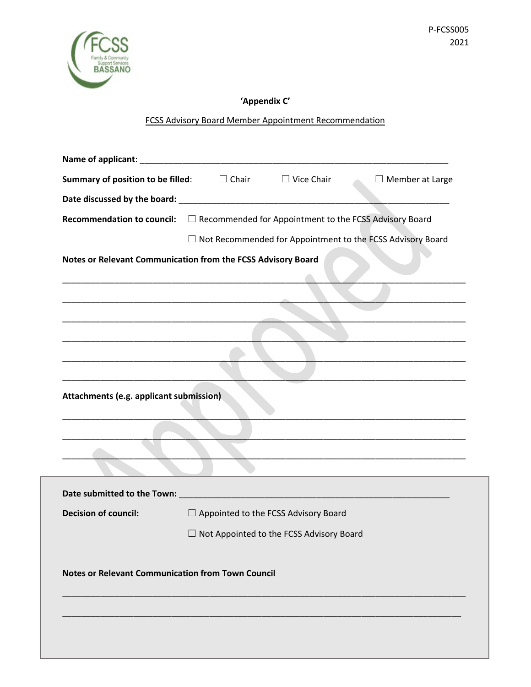

#### **'Appendix C'**

#### FCSS Advisory Board Member Appointment Recommendation

|                                                                                             | <b>Summary of position to be filled:</b> $\Box$ Chair $\Box$ Vice Chair<br>$\Box$ Member at Large                                                                                                                             |  |  |  |
|---------------------------------------------------------------------------------------------|-------------------------------------------------------------------------------------------------------------------------------------------------------------------------------------------------------------------------------|--|--|--|
|                                                                                             |                                                                                                                                                                                                                               |  |  |  |
| Recommendation to council: $\square$ Recommended for Appointment to the FCSS Advisory Board |                                                                                                                                                                                                                               |  |  |  |
|                                                                                             | $\Box$ Not Recommended for Appointment to the FCSS Advisory Board                                                                                                                                                             |  |  |  |
| Notes or Relevant Communication from the FCSS Advisory Board                                |                                                                                                                                                                                                                               |  |  |  |
|                                                                                             |                                                                                                                                                                                                                               |  |  |  |
|                                                                                             | <u> 1989 - Johann John Stein, markin fan it ferskearre fan it ferskearre fan it ferskearre fan it ferskearre fan </u>                                                                                                         |  |  |  |
|                                                                                             |                                                                                                                                                                                                                               |  |  |  |
|                                                                                             |                                                                                                                                                                                                                               |  |  |  |
|                                                                                             |                                                                                                                                                                                                                               |  |  |  |
|                                                                                             |                                                                                                                                                                                                                               |  |  |  |
|                                                                                             |                                                                                                                                                                                                                               |  |  |  |
| Attachments (e.g. applicant submission)                                                     |                                                                                                                                                                                                                               |  |  |  |
|                                                                                             |                                                                                                                                                                                                                               |  |  |  |
|                                                                                             |                                                                                                                                                                                                                               |  |  |  |
|                                                                                             | the control of the control of the control of the control of the control of the control of the control of the control of the control of the control of the control of the control of the control of the control of the control |  |  |  |
|                                                                                             |                                                                                                                                                                                                                               |  |  |  |
|                                                                                             |                                                                                                                                                                                                                               |  |  |  |
| <b>Decision of council:</b>                                                                 | $\Box$ Appointed to the FCSS Advisory Board                                                                                                                                                                                   |  |  |  |
|                                                                                             | □ Not Appointed to the FCSS Advisory Board                                                                                                                                                                                    |  |  |  |
|                                                                                             |                                                                                                                                                                                                                               |  |  |  |
| <b>Notes or Relevant Communication from Town Council</b>                                    |                                                                                                                                                                                                                               |  |  |  |
|                                                                                             |                                                                                                                                                                                                                               |  |  |  |
|                                                                                             |                                                                                                                                                                                                                               |  |  |  |
|                                                                                             |                                                                                                                                                                                                                               |  |  |  |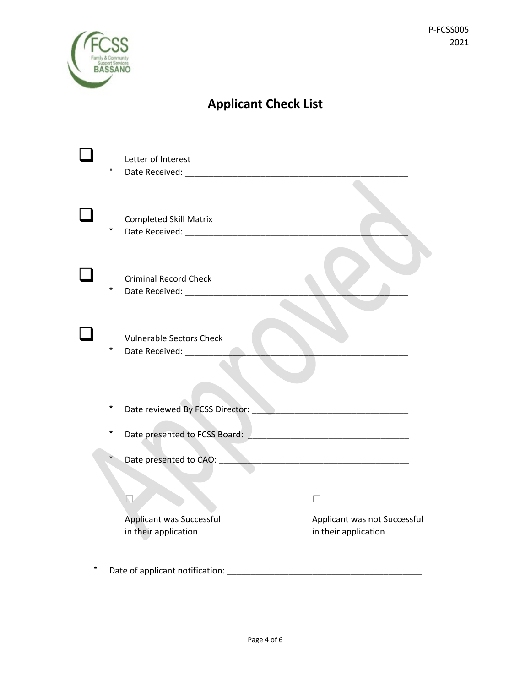

# **Applicant Check List**

|          | Letter of Interest                                         |                                                      |
|----------|------------------------------------------------------------|------------------------------------------------------|
|          |                                                            |                                                      |
| $^\star$ | <b>Completed Skill Matrix</b>                              |                                                      |
| *        | <b>Criminal Record Check</b>                               |                                                      |
| $^\star$ | <b>Vulnerable Sectors Check</b><br>Date Received: ________ |                                                      |
| $\star$  | Date reviewed By FCSS Director:                            |                                                      |
| $^\star$ | Date presented to FCSS Board:                              |                                                      |
| $^\star$ |                                                            |                                                      |
|          | ∐                                                          |                                                      |
|          | Applicant was Successful<br>in their application           | Applicant was not Successful<br>in their application |
|          |                                                            |                                                      |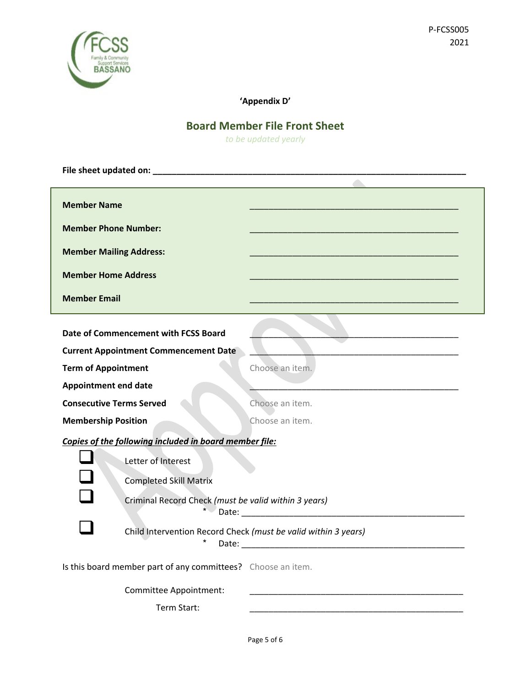

#### **'Appendix D'**

## **Board Member File Front Sheet**

*to be updated yearly*

| <b>Member Name</b>                                                         |                 |  |  |  |
|----------------------------------------------------------------------------|-----------------|--|--|--|
| <b>Member Phone Number:</b>                                                |                 |  |  |  |
| <b>Member Mailing Address:</b>                                             |                 |  |  |  |
| <b>Member Home Address</b>                                                 |                 |  |  |  |
| <b>Member Email</b>                                                        |                 |  |  |  |
| Date of Commencement with FCSS Board                                       |                 |  |  |  |
| <b>Current Appointment Commencement Date</b>                               |                 |  |  |  |
| <b>Term of Appointment</b>                                                 | Choose an item. |  |  |  |
| <b>Appointment end date</b>                                                |                 |  |  |  |
| <b>Consecutive Terms Served</b>                                            | Choose an item. |  |  |  |
| <b>Membership Position</b>                                                 | Choose an item. |  |  |  |
| Copies of the following included in board member file:                     |                 |  |  |  |
| Letter of Interest                                                         |                 |  |  |  |
| <b>Completed Skill Matrix</b>                                              |                 |  |  |  |
| Criminal Record Check (must be valid within 3 years)                       |                 |  |  |  |
| Child Intervention Record Check (must be valid within 3 years)<br>$^\star$ |                 |  |  |  |
| Is this board member part of any committees? Choose an item.               |                 |  |  |  |
| Committee Appointment:                                                     |                 |  |  |  |
| Term Start:                                                                |                 |  |  |  |